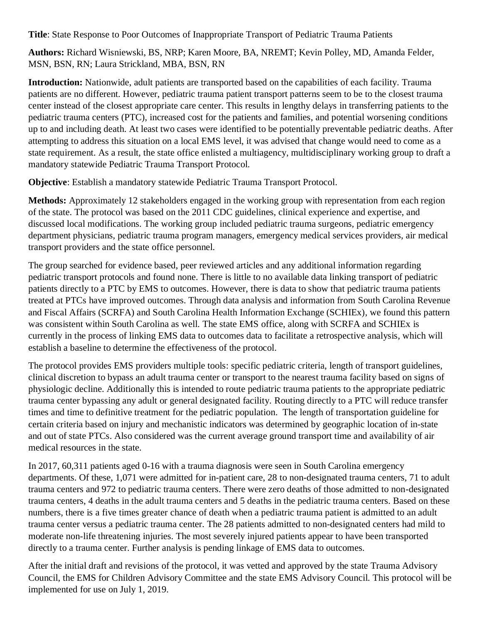**Title**: State Response to Poor Outcomes of Inappropriate Transport of Pediatric Trauma Patients

**Authors:** Richard Wisniewski, BS, NRP; Karen Moore, BA, NREMT; Kevin Polley, MD, Amanda Felder, MSN, BSN, RN; Laura Strickland, MBA, BSN, RN

**Introduction:** Nationwide, adult patients are transported based on the capabilities of each facility. Trauma patients are no different. However, pediatric trauma patient transport patterns seem to be to the closest trauma center instead of the closest appropriate care center. This results in lengthy delays in transferring patients to the pediatric trauma centers (PTC), increased cost for the patients and families, and potential worsening conditions up to and including death. At least two cases were identified to be potentially preventable pediatric deaths. After attempting to address this situation on a local EMS level, it was advised that change would need to come as a state requirement. As a result, the state office enlisted a multiagency, multidisciplinary working group to draft a mandatory statewide Pediatric Trauma Transport Protocol.

**Objective**: Establish a mandatory statewide Pediatric Trauma Transport Protocol.

**Methods:** Approximately 12 stakeholders engaged in the working group with representation from each region of the state. The protocol was based on the 2011 CDC guidelines, clinical experience and expertise, and discussed local modifications. The working group included pediatric trauma surgeons, pediatric emergency department physicians, pediatric trauma program managers, emergency medical services providers, air medical transport providers and the state office personnel.

The group searched for evidence based, peer reviewed articles and any additional information regarding pediatric transport protocols and found none. There is little to no available data linking transport of pediatric patients directly to a PTC by EMS to outcomes. However, there is data to show that pediatric trauma patients treated at PTCs have improved outcomes. Through data analysis and information from South Carolina Revenue and Fiscal Affairs (SCRFA) and South Carolina Health Information Exchange (SCHIEx), we found this pattern was consistent within South Carolina as well. The state EMS office, along with SCRFA and SCHIEx is currently in the process of linking EMS data to outcomes data to facilitate a retrospective analysis, which will establish a baseline to determine the effectiveness of the protocol.

The protocol provides EMS providers multiple tools: specific pediatric criteria, length of transport guidelines, clinical discretion to bypass an adult trauma center or transport to the nearest trauma facility based on signs of physiologic decline. Additionally this is intended to route pediatric trauma patients to the appropriate pediatric trauma center bypassing any adult or general designated facility. Routing directly to a PTC will reduce transfer times and time to definitive treatment for the pediatric population. The length of transportation guideline for certain criteria based on injury and mechanistic indicators was determined by geographic location of in-state and out of state PTCs. Also considered was the current average ground transport time and availability of air medical resources in the state.

In 2017, 60,311 patients aged 0-16 with a trauma diagnosis were seen in South Carolina emergency departments. Of these, 1,071 were admitted for in-patient care, 28 to non-designated trauma centers, 71 to adult trauma centers and 972 to pediatric trauma centers. There were zero deaths of those admitted to non-designated trauma centers, 4 deaths in the adult trauma centers and 5 deaths in the pediatric trauma centers. Based on these numbers, there is a five times greater chance of death when a pediatric trauma patient is admitted to an adult trauma center versus a pediatric trauma center. The 28 patients admitted to non-designated centers had mild to moderate non-life threatening injuries. The most severely injured patients appear to have been transported directly to a trauma center. Further analysis is pending linkage of EMS data to outcomes.

After the initial draft and revisions of the protocol, it was vetted and approved by the state Trauma Advisory Council, the EMS for Children Advisory Committee and the state EMS Advisory Council. This protocol will be implemented for use on July 1, 2019.